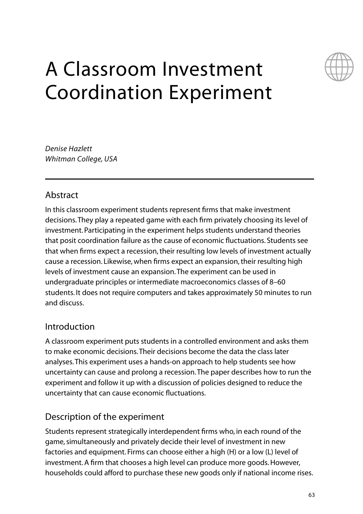

# A Classroom Investment Coordination Experiment

*Denise Hazlett Whitman College, USA*

### Abstract

In this classroom experiment students represent firms that make investment decisions.They play a repeated game with each firm privately choosing its level of investment. Participating in the experiment helps students understand theories that posit coordination failure as the cause of economic fluctuations. Students see that when firms expect a recession, their resulting low levels of investment actually cause a recession. Likewise, when firms expect an expansion, their resulting high levels of investment cause an expansion.The experiment can be used in undergraduate principles or intermediate macroeconomics classes of 8–60 students. It does not require computers and takes approximately 50 minutes to run and discuss.

### Introduction

A classroom experiment puts students in a controlled environment and asks them to make economic decisions.Their decisions become the data the class later analyses.This experiment uses a hands-on approach to help students see how uncertainty can cause and prolong a recession.The paper describes how to run the experiment and follow it up with a discussion of policies designed to reduce the uncertainty that can cause economic fluctuations.

## Description of the experiment

Students represent strategically interdependent firms who, in each round of the game, simultaneously and privately decide their level of investment in new factories and equipment. Firms can choose either a high (H) or a low (L) level of investment. A firm that chooses a high level can produce more goods. However, households could afford to purchase these new goods only if national income rises.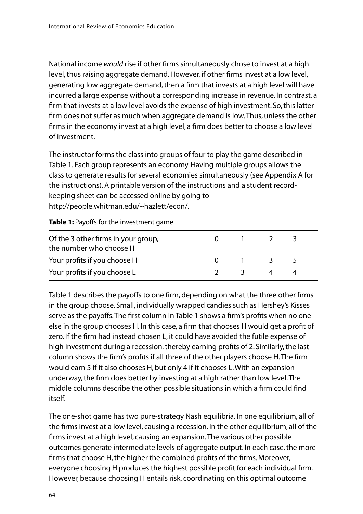National income *would* rise if other firms simultaneously chose to invest at a high level, thus raising aggregate demand. However, if other firms invest at a low level, generating low aggregate demand, then a firm that invests at a high level will have incurred a large expense without a corresponding increase in revenue. In contrast, a firm that invests at a low level avoids the expense of high investment. So, this latter firm does not suffer as much when aggregate demand is low.Thus, unless the other firms in the economy invest at a high level, a firm does better to choose a low level of investment.

The instructor forms the class into groups of four to play the game described in Table 1. Each group represents an economy. Having multiple groups allows the class to generate results for several economies simultaneously (see Appendix A for the instructions). A printable version of the instructions and a student recordkeeping sheet can be accessed online by going to http://people.whitman.edu/~hazlett/econ/.

#### **Table 1:** Payoffs for the investment game

| Of the 3 other firms in your group,<br>the number who choose H | $\Omega$ | $\frac{1}{2}$                          |    |
|----------------------------------------------------------------|----------|----------------------------------------|----|
| Your profits if you choose H                                   | $\Omega$ | $\begin{array}{ccc} & 1 & \end{array}$ | -5 |
| Your profits if you choose L                                   |          | -3                                     |    |

Table 1 describes the payoffs to one firm, depending on what the three other firms in the group choose. Small, individually wrapped candies such as Hershey's Kisses serve as the payoffs.The first column in Table 1 shows a firm's profits when no one else in the group chooses H. In this case, a firm that chooses H would get a profit of zero. If the firm had instead chosen L, it could have avoided the futile expense of high investment during a recession, thereby earning profits of 2. Similarly, the last column shows the firm's profits if all three of the other players choose H.The firm would earn 5 if it also chooses H, but only 4 if it chooses L.With an expansion underway, the firm does better by investing at a high rather than low level.The middle columns describe the other possible situations in which a firm could find itself.

The one-shot game has two pure-strategy Nash equilibria. In one equilibrium, all of the firms invest at a low level, causing a recession. In the other equilibrium, all of the firms invest at a high level, causing an expansion.The various other possible outcomes generate intermediate levels of aggregate output. In each case, the more firms that choose H, the higher the combined profits of the firms. Moreover, everyone choosing H produces the highest possible profit for each individual firm. However, because choosing H entails risk, coordinating on this optimal outcome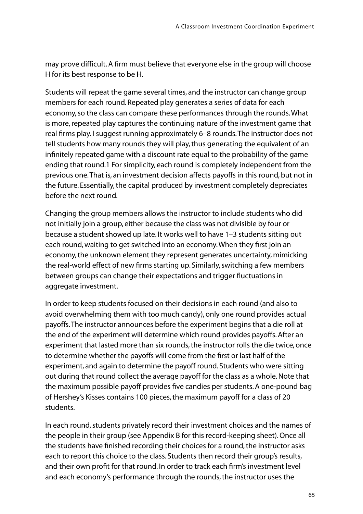may prove difficult. A firm must believe that everyone else in the group will choose H for its best response to be H.

Students will repeat the game several times, and the instructor can change group members for each round. Repeated play generates a series of data for each economy, so the class can compare these performances through the rounds.What is more, repeated play captures the continuing nature of the investment game that real firms play. I suggest running approximately 6–8 rounds.The instructor does not tell students how many rounds they will play, thus generating the equivalent of an infinitely repeated game with a discount rate equal to the probability of the game ending that round.1 For simplicity, each round is completely independent from the previous one.That is, an investment decision affects payoffs in this round, but not in the future. Essentially, the capital produced by investment completely depreciates before the next round.

Changing the group members allows the instructor to include students who did not initially join a group, either because the class was not divisible by four or because a student showed up late. It works well to have 1–3 students sitting out each round, waiting to get switched into an economy.When they first join an economy, the unknown element they represent generates uncertainty, mimicking the real-world effect of new firms starting up. Similarly, switching a few members between groups can change their expectations and trigger fluctuations in aggregate investment.

In order to keep students focused on their decisions in each round (and also to avoid overwhelming them with too much candy), only one round provides actual payoffs.The instructor announces before the experiment begins that a die roll at the end of the experiment will determine which round provides payoffs. After an experiment that lasted more than six rounds, the instructor rolls the die twice, once to determine whether the payoffs will come from the first or last half of the experiment, and again to determine the payoff round. Students who were sitting out during that round collect the average payoff for the class as a whole. Note that the maximum possible payoff provides five candies per students. A one-pound bag of Hershey's Kisses contains 100 pieces, the maximum payoff for a class of 20 students.

In each round, students privately record their investment choices and the names of the people in their group (see Appendix B for this record-keeping sheet). Once all the students have finished recording their choices for a round, the instructor asks each to report this choice to the class. Students then record their group's results, and their own profit for that round. In order to track each firm's investment level and each economy's performance through the rounds, the instructor uses the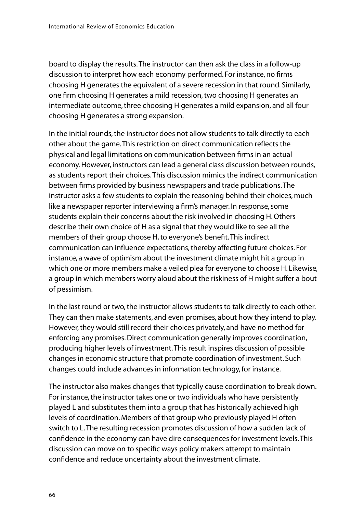board to display the results.The instructor can then ask the class in a follow-up discussion to interpret how each economy performed. For instance, no firms choosing H generates the equivalent of a severe recession in that round. Similarly, one firm choosing H generates a mild recession, two choosing H generates an intermediate outcome, three choosing H generates a mild expansion, and all four choosing H generates a strong expansion.

In the initial rounds, the instructor does not allow students to talk directly to each other about the game.This restriction on direct communication reflects the physical and legal limitations on communication between firms in an actual economy. However, instructors can lead a general class discussion between rounds, as students report their choices.This discussion mimics the indirect communication between firms provided by business newspapers and trade publications.The instructor asks a few students to explain the reasoning behind their choices, much like a newspaper reporter interviewing a firm's manager. In response, some students explain their concerns about the risk involved in choosing H. Others describe their own choice of H as a signal that they would like to see all the members of their group choose H, to everyone's benefit.This indirect communication can influence expectations, thereby affecting future choices. For instance, a wave of optimism about the investment climate might hit a group in which one or more members make a veiled plea for everyone to choose H. Likewise, a group in which members worry aloud about the riskiness of H might suffer a bout of pessimism.

In the last round or two, the instructor allows students to talk directly to each other. They can then make statements, and even promises, about how they intend to play. However, they would still record their choices privately, and have no method for enforcing any promises. Direct communication generally improves coordination, producing higher levels of investment.This result inspires discussion of possible changes in economic structure that promote coordination of investment. Such changes could include advances in information technology, for instance.

The instructor also makes changes that typically cause coordination to break down. For instance, the instructor takes one or two individuals who have persistently played L and substitutes them into a group that has historically achieved high levels of coordination. Members of that group who previously played H often switch to L.The resulting recession promotes discussion of how a sudden lack of confidence in the economy can have dire consequences for investment levels.This discussion can move on to specific ways policy makers attempt to maintain confidence and reduce uncertainty about the investment climate.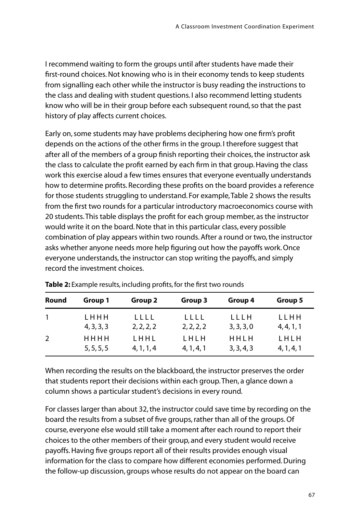I recommend waiting to form the groups until after students have made their first-round choices. Not knowing who is in their economy tends to keep students from signalling each other while the instructor is busy reading the instructions to the class and dealing with student questions. I also recommend letting students know who will be in their group before each subsequent round, so that the past history of play affects current choices.

Early on, some students may have problems deciphering how one firm's profit depends on the actions of the other firms in the group. I therefore suggest that after all of the members of a group finish reporting their choices, the instructor ask the class to calculate the profit earned by each firm in that group. Having the class work this exercise aloud a few times ensures that everyone eventually understands how to determine profits. Recording these profits on the board provides a reference for those students struggling to understand. For example,Table 2 shows the results from the first two rounds for a particular introductory macroeconomics course with 20 students.This table displays the profit for each group member, as the instructor would write it on the board. Note that in this particular class, every possible combination of play appears within two rounds. After a round or two, the instructor asks whether anyone needs more help figuring out how the payoffs work. Once everyone understands, the instructor can stop writing the payoffs, and simply record the investment choices.

| Round | Group 1    | Group 2    | Group 3    | Group 4    | Group 5    |
|-------|------------|------------|------------|------------|------------|
| 1     | LHHH       | LLLL       | LLLL       | LLLH       | LLHH       |
|       | 4, 3, 3, 3 | 2, 2, 2, 2 | 2, 2, 2, 2 | 3, 3, 3, 0 | 4, 4, 1, 1 |
| 2     | нннн       | LHHL       | LHLH       | HHLH       | LHLH       |
|       | 5, 5, 5, 5 | 4, 1, 1, 4 | 4, 1, 4, 1 | 3, 3, 4, 3 | 4, 1, 4, 1 |

**Table 2:** Example results, including profits, for the first two rounds

When recording the results on the blackboard, the instructor preserves the order that students report their decisions within each group.Then, a glance down a column shows a particular student's decisions in every round.

For classes larger than about 32, the instructor could save time by recording on the board the results from a subset of five groups, rather than all of the groups. Of course, everyone else would still take a moment after each round to report their choices to the other members of their group, and every student would receive payoffs. Having five groups report all of their results provides enough visual information for the class to compare how different economies performed. During the follow-up discussion, groups whose results do not appear on the board can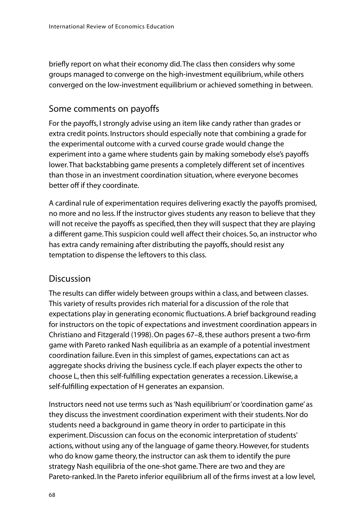briefly report on what their economy did.The class then considers why some groups managed to converge on the high-investment equilibrium, while others converged on the low-investment equilibrium or achieved something in between.

#### Some comments on payoffs

For the payoffs, I strongly advise using an item like candy rather than grades or extra credit points. Instructors should especially note that combining a grade for the experimental outcome with a curved course grade would change the experiment into a game where students gain by making somebody else's payoffs lower.That backstabbing game presents a completely different set of incentives than those in an investment coordination situation, where everyone becomes better off if they coordinate.

A cardinal rule of experimentation requires delivering exactly the payoffs promised, no more and no less. If the instructor gives students any reason to believe that they will not receive the payoffs as specified, then they will suspect that they are playing a different game.This suspicion could well affect their choices. So, an instructor who has extra candy remaining after distributing the payoffs, should resist any temptation to dispense the leftovers to this class.

### Discussion

The results can differ widely between groups within a class, and between classes. This variety of results provides rich material for a discussion of the role that expectations play in generating economic fluctuations. A brief background reading for instructors on the topic of expectations and investment coordination appears in Christiano and Fitzgerald (1998). On pages 67–8, these authors present a two-firm game with Pareto ranked Nash equilibria as an example of a potential investment coordination failure. Even in this simplest of games, expectations can act as aggregate shocks driving the business cycle. If each player expects the other to choose L,then this self-fulfilling expectation generates a recession. Likewise, a self-fulfilling expectation of H generates an expansion.

Instructors need not use terms such as 'Nash equilibrium' or 'coordination game' as they discuss the investment coordination experiment with their students. Nor do students need a background in game theory in order to participate in this experiment. Discussion can focus on the economic interpretation of students' actions, without using any of the language of game theory. However, for students who do know game theory, the instructor can ask them to identify the pure strategy Nash equilibria of the one-shot game.There are two and they are Pareto-ranked. In the Pareto inferior equilibrium all of the firms invest at a low level,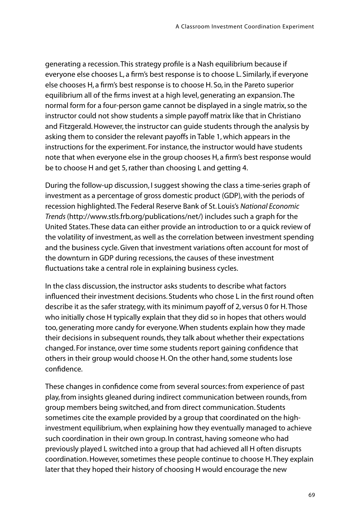generating a recession.This strategy profile is a Nash equilibrium because if everyone else chooses L, a firm's best response is to choose L. Similarly, if everyone else chooses H, a firm's best response is to choose H. So, in the Pareto superior equilibrium all of the firms invest at a high level, generating an expansion.The normal form for a four-person game cannot be displayed in a single matrix, so the instructor could not show students a simple payoff matrix like that in Christiano and Fitzgerald. However, the instructor can guide students through the analysis by asking them to consider the relevant payoffs in Table 1, which appears in the instructions for the experiment. For instance, the instructor would have students note that when everyone else in the group chooses H, a firm's best response would be to choose H and get 5, rather than choosing L and getting 4.

During the follow-up discussion, I suggest showing the class a time-series graph of investment as a percentage of gross domestic product (GDP), with the periods of recession highlighted.The Federal Reserve Bank of St. Louis's *National Economic Trends* (http://www.stls.frb.org/publications/net/) includes such a graph for the United States.These data can either provide an introduction to or a quick review of the volatility of investment, as well as the correlation between investment spending and the business cycle. Given that investment variations often account for most of the downturn in GDP during recessions, the causes of these investment fluctuations take a central role in explaining business cycles.

In the class discussion, the instructor asks students to describe what factors influenced their investment decisions. Students who chose L in the first round often describe it as the safer strategy, with its minimum payoff of 2, versus 0 for H.Those who initially chose H typically explain that they did so in hopes that others would too, generating more candy for everyone.When students explain how they made their decisions in subsequent rounds, they talk about whether their expectations changed. For instance, over time some students report gaining confidence that others in their group would choose H. On the other hand, some students lose confidence.

These changes in confidence come from several sources: from experience of past play, from insights gleaned during indirect communication between rounds, from group members being switched, and from direct communication. Students sometimes cite the example provided by a group that coordinated on the highinvestment equilibrium, when explaining how they eventually managed to achieve such coordination in their own group. In contrast, having someone who had previously played L switched into a group that had achieved all H often disrupts coordination. However, sometimes these people continue to choose H.They explain later that they hoped their history of choosing H would encourage the new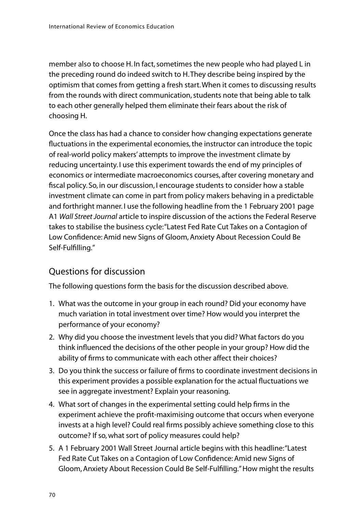member also to choose H. In fact, sometimes the new people who had played L in the preceding round do indeed switch to H.They describe being inspired by the optimism that comes from getting a fresh start.When it comes to discussing results from the rounds with direct communication, students note that being able to talk to each other generally helped them eliminate their fears about the risk of choosing H.

Once the class has had a chance to consider how changing expectations generate fluctuations in the experimental economies, the instructor can introduce the topic of real-world policy makers' attempts to improve the investment climate by reducing uncertainty. I use this experiment towards the end of my principles of economics or intermediate macroeconomics courses, after covering monetary and fiscal policy. So, in our discussion, I encourage students to consider how a stable investment climate can come in part from policy makers behaving in a predictable and forthright manner. I use the following headline from the 1 February 2001 page A1 *Wall Street Journal* article to inspire discussion of the actions the Federal Reserve takes to stabilise the business cycle:"Latest Fed Rate Cut Takes on a Contagion of Low Confidence: Amid new Signs of Gloom, Anxiety About Recession Could Be Self-Fulfilling."

## Questions for discussion

The following questions form the basis for the discussion described above.

- 1. What was the outcome in your group in each round? Did your economy have much variation in total investment over time? How would you interpret the performance of your economy?
- 2. Why did you choose the investment levels that you did? What factors do you think influenced the decisions of the other people in your group? How did the ability of firms to communicate with each other affect their choices?
- 3. Do you think the success or failure of firms to coordinate investment decisions in this experiment provides a possible explanation for the actual fluctuations we see in aggregate investment? Explain your reasoning.
- 4. What sort of changes in the experimental setting could help firms in the experiment achieve the profit-maximising outcome that occurs when everyone invests at a high level? Could real firms possibly achieve something close to this outcome? If so, what sort of policy measures could help?
- 5. A 1 February 2001 Wall Street Journal article begins with this headline:"Latest Fed Rate Cut Takes on a Contagion of Low Confidence: Amid new Signs of Gloom, Anxiety About Recession Could Be Self-Fulfilling." How might the results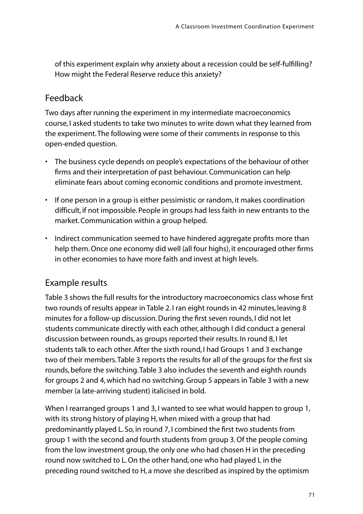of this experiment explain why anxiety about a recession could be self-fulfilling? How might the Federal Reserve reduce this anxiety?

#### Feedback

Two days after running the experiment in my intermediate macroeconomics course, I asked students to take two minutes to write down what they learned from the experiment.The following were some of their comments in response to this open-ended question.

- The business cycle depends on people's expectations of the behaviour of other firms and their interpretation of past behaviour. Communication can help eliminate fears about coming economic conditions and promote investment.
- If one person in a group is either pessimistic or random, it makes coordination difficult, if not impossible. People in groups had less faith in new entrants to the market. Communication within a group helped.
- Indirect communication seemed to have hindered aggregate profits more than help them.Once one economy did well (all four highs), it encouraged other firms in other economies to have more faith and invest at high levels.

### Example results

Table 3 shows the full results for the introductory macroeconomics class whose first two rounds of results appear in Table 2. I ran eight rounds in 42 minutes, leaving 8 minutes for a follow-up discussion. During the first seven rounds, I did not let students communicate directly with each other, although I did conduct a general discussion between rounds, as groups reported their results. In round 8, I let students talk to each other. After the sixth round, I had Groups 1 and 3 exchange two of their members.Table 3 reports the results for all of the groups for the first six rounds, before the switching.Table 3 also includes the seventh and eighth rounds for groups 2 and 4, which had no switching. Group 5 appears in Table 3 with a new member (a late-arriving student) italicised in bold.

When I rearranged groups 1 and 3, I wanted to see what would happen to group 1, with its strong history of playing H, when mixed with a group that had predominantly played L. So, in round 7, I combined the first two students from group 1 with the second and fourth students from group 3. Of the people coming from the low investment group, the only one who had chosen H in the preceding round now switched to L. On the other hand, one who had played L in the preceding round switched to H, a move she described as inspired by the optimism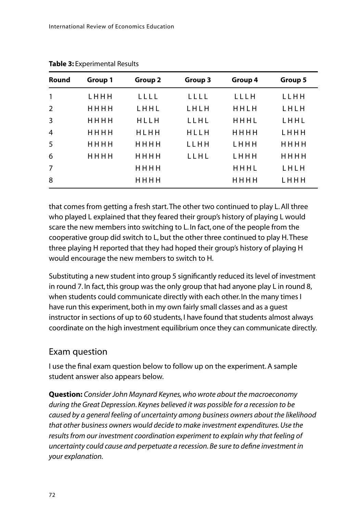| Round          | Group 1 | Group <sub>2</sub> | Group 3 | Group 4 | Group 5 |
|----------------|---------|--------------------|---------|---------|---------|
| 1              | LHHH    | LLLL               | LLLL    | LLLH    | LLHH    |
| 2              | нннн    | LHHL               | LHLH    | HHLH    | LHLH    |
| 3              | нннн    | HLLH               | LLHL    | HHHL    | LHHL    |
| $\overline{4}$ | нннн    | HLHH               | HLLH    | нннн    | LHHH    |
| 5              | HHHH    | нннн               | LLHH    | LHHH    | нннн    |
| 6              | нннн    | нннн               | LLHL    | LHHH    | нннн    |
| 7              |         | нннн               |         | HHHL    | LHLH    |
| 8              |         | нннн               |         | нннн    | LHHH    |

**Table 3:** Experimental Results

that comes from getting a fresh start.The other two continued to play L. All three who played L explained that they feared their group's history of playing L would scare the new members into switching to L. In fact, one of the people from the cooperative group did switch to L, but the other three continued to play H.These three playing H reported that they had hoped their group's history of playing H would encourage the new members to switch to H.

Substituting a new student into group 5 significantly reduced its level of investment in round 7. In fact, this group was the only group that had anyone play L in round 8, when students could communicate directly with each other. In the many times I have run this experiment, both in my own fairly small classes and as a guest instructor in sections of up to 60 students, I have found that students almost always coordinate on the high investment equilibrium once they can communicate directly.

#### Exam question

I use the final exam question below to follow up on the experiment. A sample student answer also appears below.

**Question:** *Consider John Maynard Keynes, who wrote about the macroeconomy during the Great Depression.Keynes believed it was possible for a recession to be caused by a general feeling of uncertainty among business owners about the likelihood that other business owners would decide to make investment expenditures. Use the results from our investment coordination experiment to explain why that feeling of uncertainty could cause and perpetuate a recession. Be sure to define investment in your explanation.*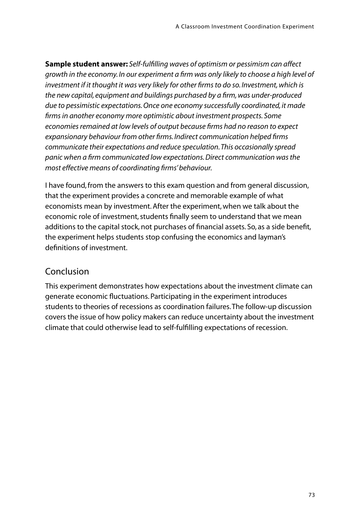**Sample student answer:** *Self-fulfilling waves of optimism or pessimism can affect growth in the economy. In our experiment a firm was only likely to choose a high level of investment if it thought it was very likely for other firms to do so. Investment, which is the new capital, equipment and buildings purchased by a firm, was under-produced due to pessimistic expectations. Once one economy successfully coordinated, it made firms in another economy more optimistic about investment prospects. Some economies remained at low levels of output because firms had no reason to expect expansionary behaviour from other firms. Indirect communication helped firms communicate their expectations and reduce speculation.This occasionally spread panic when a firm communicated low expectations. Direct communication was the most effective means of coordinating firms' behaviour.*

I have found, from the answers to this exam question and from general discussion, that the experiment provides a concrete and memorable example of what economists mean by investment. After the experiment, when we talk about the economic role of investment, students finally seem to understand that we mean additions to the capital stock, not purchases of financial assets. So, as a side benefit, the experiment helps students stop confusing the economics and layman's definitions of investment.

### Conclusion

This experiment demonstrates how expectations about the investment climate can generate economic fluctuations. Participating in the experiment introduces students to theories of recessions as coordination failures.The follow-up discussion covers the issue of how policy makers can reduce uncertainty about the investment climate that could otherwise lead to self-fulfilling expectations of recession.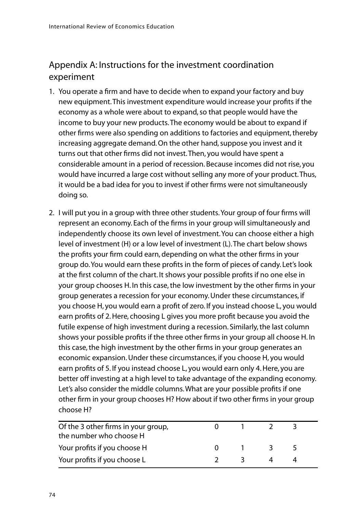## Appendix A: Instructions for the investment coordination experiment

- 1. You operate a firm and have to decide when to expand your factory and buy new equipment.This investment expenditure would increase your profits if the economy as a whole were about to expand, so that people would have the income to buy your new products.The economy would be about to expand if other firms were also spending on additions to factories and equipment, thereby increasing aggregate demand. On the other hand, suppose you invest and it turns out that other firms did not invest.Then, you would have spent a considerable amount in a period of recession. Because incomes did not rise, you would have incurred a large cost without selling any more of your product.Thus, it would be a bad idea for you to invest if other firms were not simultaneously doing so.
- 2. I will put you in a group with three other students.Your group of four firms will represent an economy. Each of the firms in your group will simultaneously and independently choose its own level of investment.You can choose either a high level of investment (H) or a low level of investment (L).The chart below shows the profits your firm could earn, depending on what the other firms in your group do.You would earn these profits in the form of pieces of candy. Let's look at the first column of the chart. It shows your possible profits if no one else in your group chooses H. In this case, the low investment by the other firms in your group generates a recession for your economy. Under these circumstances, if you choose H, you would earn a profit of zero. If you instead choose L, you would earn profits of 2. Here, choosing L gives you more profit because you avoid the futile expense of high investment during a recession. Similarly, the last column shows your possible profits if the three other firms in your group all choose H. In this case, the high investment by the other firms in your group generates an economic expansion. Under these circumstances, if you choose H, you would earn profits of 5. If you instead choose L, you would earn only 4. Here, you are better off investing at a high level to take advantage of the expanding economy. Let's also consider the middle columns.What are your possible profits if one other firm in your group chooses H? How about if two other firms in your group choose H?

| Of the 3 other firms in your group,<br>the number who choose H |             |  |   |  |
|----------------------------------------------------------------|-------------|--|---|--|
| Your profits if you choose H                                   | $^{\prime}$ |  | 5 |  |
| Your profits if you choose L                                   |             |  |   |  |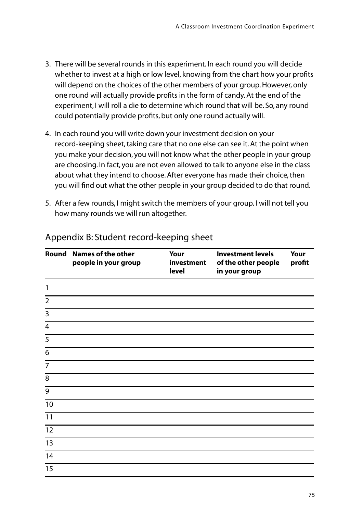- 3. There will be several rounds in this experiment. In each round you will decide whether to invest at a high or low level, knowing from the chart how your profits will depend on the choices of the other members of your group. However, only one round will actually provide profits in the form of candy. At the end of the experiment, I will roll a die to determine which round that will be. So, any round could potentially provide profits, but only one round actually will.
- 4. In each round you will write down your investment decision on your record-keeping sheet, taking care that no one else can see it. At the point when you make your decision, you will not know what the other people in your group are choosing. In fact, you are not even allowed to talk to anyone else in the class about what they intend to choose. After everyone has made their choice, then you will find out what the other people in your group decided to do that round.
- 5. After a few rounds, I might switch the members of your group. I will not tell you how many rounds we will run altogether.

| Round          | <b>Names of the other</b><br>people in your group | Your<br>investment<br>level | <b>Investment levels</b><br>of the other people<br>in your group | Your<br>profit |
|----------------|---------------------------------------------------|-----------------------------|------------------------------------------------------------------|----------------|
| 1              |                                                   |                             |                                                                  |                |
| $\overline{2}$ |                                                   |                             |                                                                  |                |
| 3              |                                                   |                             |                                                                  |                |
| $\overline{4}$ |                                                   |                             |                                                                  |                |
| 5              |                                                   |                             |                                                                  |                |
| 6              |                                                   |                             |                                                                  |                |
| $\overline{7}$ |                                                   |                             |                                                                  |                |
| 8              |                                                   |                             |                                                                  |                |
| 9              |                                                   |                             |                                                                  |                |
| 10             |                                                   |                             |                                                                  |                |
| 11             |                                                   |                             |                                                                  |                |
| 12             |                                                   |                             |                                                                  |                |
| 13             |                                                   |                             |                                                                  |                |
| 14             |                                                   |                             |                                                                  |                |
| 15             |                                                   |                             |                                                                  |                |

#### Appendix B: Student record-keeping sheet